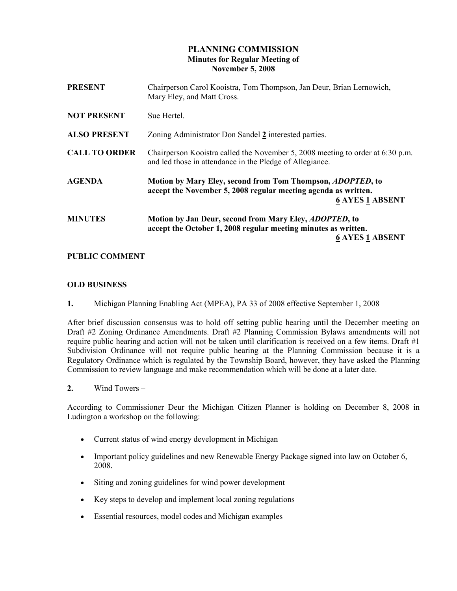# PLANNING COMMISSION Minutes for Regular Meeting of November 5, 2008

| <b>PRESENT</b>       | Chairperson Carol Kooistra, Tom Thompson, Jan Deur, Brian Lernowich,<br>Mary Eley, and Matt Cross.                                                             |
|----------------------|----------------------------------------------------------------------------------------------------------------------------------------------------------------|
| <b>NOT PRESENT</b>   | Sue Hertel.                                                                                                                                                    |
| <b>ALSO PRESENT</b>  | Zoning Administrator Don Sandel 2 interested parties.                                                                                                          |
| <b>CALL TO ORDER</b> | Chairperson Kooistra called the November 5, 2008 meeting to order at $6:30$ p.m.<br>and led those in attendance in the Pledge of Allegiance.                   |
| <b>AGENDA</b>        | Motion by Mary Eley, second from Tom Thompson, <i>ADOPTED</i> , to<br>accept the November 5, 2008 regular meeting agenda as written.<br><b>6 AYES 1 ABSENT</b> |
| <b>MINUTES</b>       | Motion by Jan Deur, second from Mary Eley, <i>ADOPTED</i> , to<br>accept the October 1, 2008 regular meeting minutes as written.<br><b>6 AYES 1 ABSENT</b>     |

# PUBLIC COMMENT

### OLD BUSINESS

1. Michigan Planning Enabling Act (MPEA), PA 33 of 2008 effective September 1, 2008

After brief discussion consensus was to hold off setting public hearing until the December meeting on Draft #2 Zoning Ordinance Amendments. Draft #2 Planning Commission Bylaws amendments will not require public hearing and action will not be taken until clarification is received on a few items. Draft #1 Subdivision Ordinance will not require public hearing at the Planning Commission because it is a Regulatory Ordinance which is regulated by the Township Board, however, they have asked the Planning Commission to review language and make recommendation which will be done at a later date.

2. Wind Towers –

According to Commissioner Deur the Michigan Citizen Planner is holding on December 8, 2008 in Ludington a workshop on the following:

- Current status of wind energy development in Michigan
- Important policy guidelines and new Renewable Energy Package signed into law on October 6, 2008.
- Siting and zoning guidelines for wind power development
- Key steps to develop and implement local zoning regulations
- Essential resources, model codes and Michigan examples